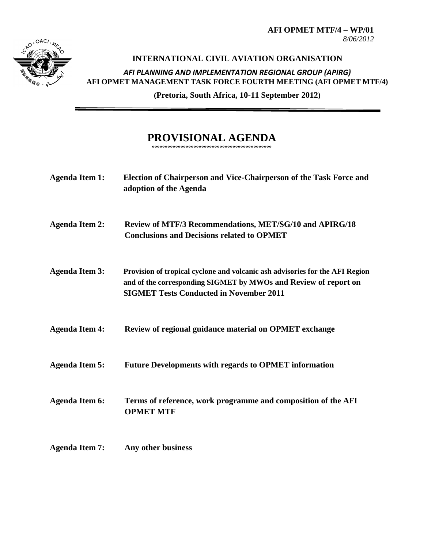

## **INTERNATIONAL CIVIL AVIATION ORGANISATION**  *AFI PLANNING AND IMPLEMENTATION REGIONAL GROUP (APIRG)* **AFI OPMET MANAGEMENT TASK FORCE FOURTH MEETING (AFI OPMET MTF/4)**

**(Pretoria, South Africa, 10-11 September 2012)**

## **PROVISIONAL AGENDA**

**°°°°°°°°°°°°°°°°°°°°°°°°°°°°°°°°°°°°°°°°°°°°°°**

| <b>Agenda Item 1:</b> | Election of Chairperson and Vice-Chairperson of the Task Force and<br>adoption of the Agenda                                                                                                      |
|-----------------------|---------------------------------------------------------------------------------------------------------------------------------------------------------------------------------------------------|
| <b>Agenda Item 2:</b> | <b>Review of MTF/3 Recommendations, MET/SG/10 and APIRG/18</b><br><b>Conclusions and Decisions related to OPMET</b>                                                                               |
| <b>Agenda Item 3:</b> | Provision of tropical cyclone and volcanic ash advisories for the AFI Region<br>and of the corresponding SIGMET by MWOs and Review of report on<br><b>SIGMET Tests Conducted in November 2011</b> |
| <b>Agenda Item 4:</b> | Review of regional guidance material on OPMET exchange                                                                                                                                            |
| <b>Agenda Item 5:</b> | <b>Future Developments with regards to OPMET information</b>                                                                                                                                      |
| <b>Agenda Item 6:</b> | Terms of reference, work programme and composition of the AFI<br><b>OPMET MTF</b>                                                                                                                 |
| <b>Agenda Item 7:</b> | Any other business                                                                                                                                                                                |